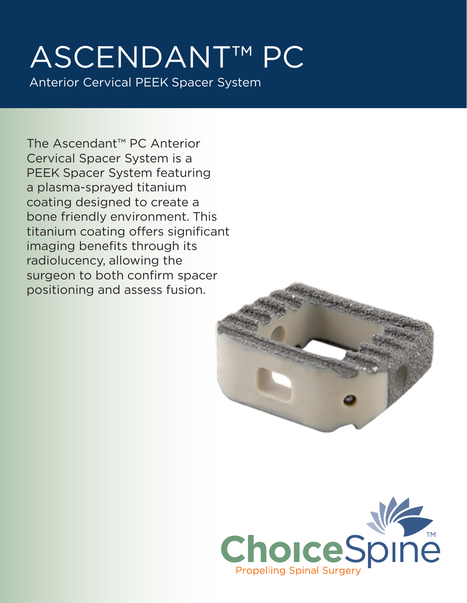## ASCENDANT™ PC Anterior Cervical PEEK Spacer System

The Ascendant™ PC Anterior Cervical Spacer System is a PEEK Spacer System featuring a plasma-sprayed titanium coating designed to create a bone friendly environment. This titanium coating offers significant imaging benefits through its radiolucency, allowing the surgeon to both confirm spacer positioning and assess fusion.